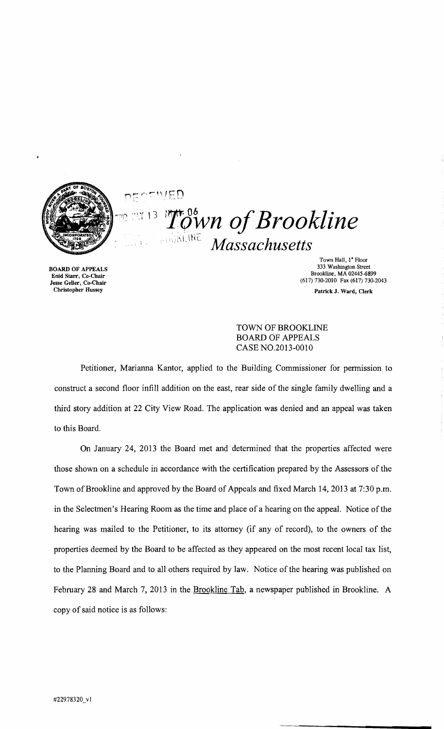

 $n \in \cap E \cup E$  $\mathcal{L}^{\scriptscriptstyle\bullet\circ}$ <sup>os</sup>wn of Brookline ., ,;;\\. IHc. *Massachusetts* 

BOARD OF APPEALS Enid Starr, Co-Chair Jesse Geller, Co-Chair Christopher Hussey

Town Hall, I" Floor 333 Washington Street Brookline. MA 02445-6899 (617) 730-2010 Fax (617) 730-2043 Patrick J. Ward, Clerk

## TOWN OF BROOKLINE BOARD OF APPEALS CASE NO.2013-0010

Petitioner, Marianna Kantor, applied to the Building Commissioner for permission to construct a second floor infill addition on the east, rear side of the single family dwelling and a third story addition at 22 City View Road. The application was denied and an appeal was taken to this Board.

On January 24, 2013 the Board met and determined that the properties affected were those shown on a schedule in accordance with the certification prepared by the Assessors of the Town of Brookline and approved by the Board of Appeals and fixed March 14, 2013 at 7:30 p.m. in the Selectmen's Hearing Room as the time and place of a hearing on the appeal. Notice of the hearing was mailed to the Petitioner, to its attorney (if any of record), to the owners of the properties deemed by the Board to be affected as they appeared on the most recent local tax list, to the Planning Board and to all others required by law. Notice of the hearing was published on February 28 and March 7, 2013 in the Brookline Tab, a newspaper published in Brookline. A copy of said notice is as follows: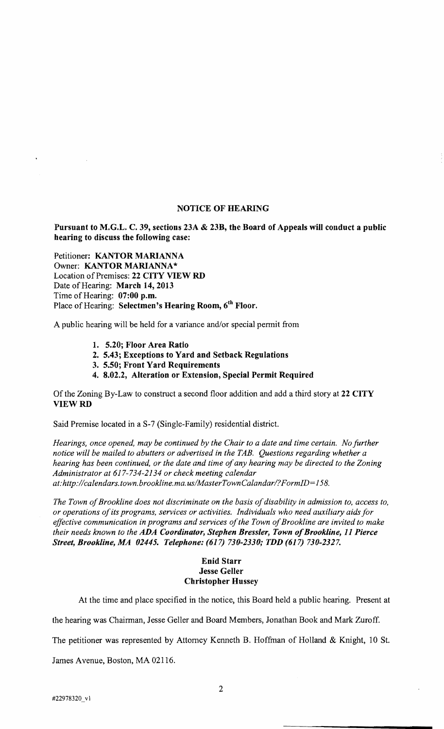#### NOTICE OF HEARING

Pursuant to M.G.L. C. 39, sections 23A & 23B, the Board of Appeals will conduct a public hearing to discuss the following case:

Petitioner: KANTOR MARIANNA Owner: KANTOR MARIANNA\* Location of Premises: 22 CITY VIEW RD Date of Hearing: March 14, 2013 Time of Hearing: 07:00 p.m. Place of Hearing: Selectmen's Hearing Room, 6<sup>th</sup> Floor.

A public hearing will be held for a variance and/or special permit from

- 1. 5.20; Floor Area Ratio
- 2. 5.43; Exceptions to Yard and Setback Regulations
- 3. 5.50; Front Yard Requirements
- 4. 8.02.2, Alteration or Extension, Special Permit Required

Of the Zoning By-Law to construct a second floor addition and add a third story at 22 CITY VIEWRD

Said Premise located in a S-7 (Single-Family) residential district.

*Hearings, once opened, may be continued by the Chair to a date and time certain. No further notice will be mailed to abutters or advertised in the TAB. Questions regarding whether a hearing has been continued, or the date and time of any hearing may be directed to the Zoning Administrator at* 617-734-2134 *or check meeting calendar at: http://calendars.town.brookline.ma.us/MasterTownCalandar/? FormID= 158.* 

The Town of Brookline does not discriminate on the basis of disability in admission to, access to, *or operations ofits programs, services or activities. Individuals who need auxiliary aids for*  effective communication in programs and services of the Town of Brookline are invited to make *their needs known to the ADA Coordinator, Stephen Bressler, Town of Brookline, 11 Pierce Street, Brookline, MA 02445. Telephone:* (617) *730-2330,' TDD* (617) *730-2327.* 

#### Enid Starr Jesse Geller Christopher Hussey

At the time and place specified in the notice, this Board held a public hearing. Present at

the hearing was Chairman, Jesse Geller and Board Members, Jonathan Book and Mark Zuroff.

The petitioner was represented by Attorney Kenneth B. Hoffman of Holland & Knight, 10 S1.

James Avenue, Boston, MA 02116.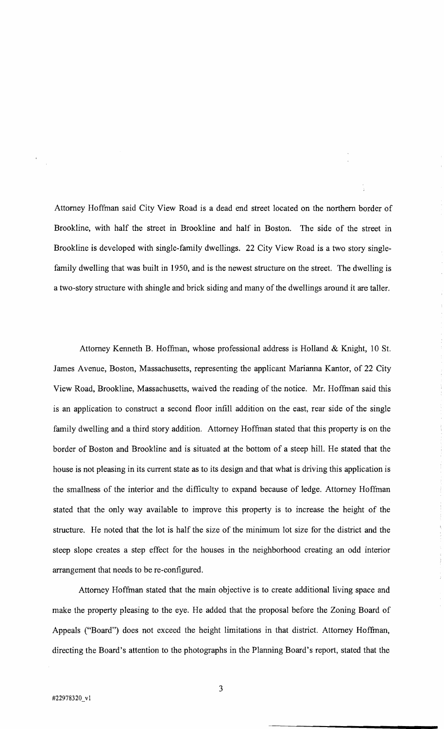Attorney Hoffman said City View Road is a dead end street located on the northern border of Brookline, with half the street in Brookline and half in Boston. The side of the street in Brookline is developed with single-family dwellings. 22 City View Road is a two story singlefamily dwelling that was built in 1950, and is the newest structure on the street. The dwelling is a two-story structure with shingle and brick siding and many of the dwellings around it are taller.

Attorney Kenneth B. Hoffman, whose professional address is Holland & Knight, 10 St. James Avenue, Boston, Massachusetts, representing the applicant Marianna Kantor, of 22 City View Road, Brookline, Massachusetts, waived the reading of the notice. Mr. Hoffman said this is an application to construct a second floor infill addition on the east, rear side of the single family dwelling and a third story addition. Attorney Hoffman stated that this property is on the border of Boston and Brookline and is situated at the bottom of a steep hill. He stated that the house is not pleasing in its current state as to its design and that what is driving this application is the smallness of the interior and the difficulty to expand because of ledge. Attorney Hoffman stated that the only way available to improve this property is to increase the height of the structure. He noted that the lot is half the size of the minimum lot size for the district and the steep slope creates a step effect for the houses in the neighborhood creating an odd interior arrangement that needs to be re-configured.

Attorney Hoffman stated that the main objective is to create additional living space and make the property pleasing to the eye. He added that the proposal before the Zoning Board of Appeals ("Board") does not exceed the height limitations in that district. Attorney Hoffman, directing the Board's attention to the photographs in the Planning Board's report, stated that the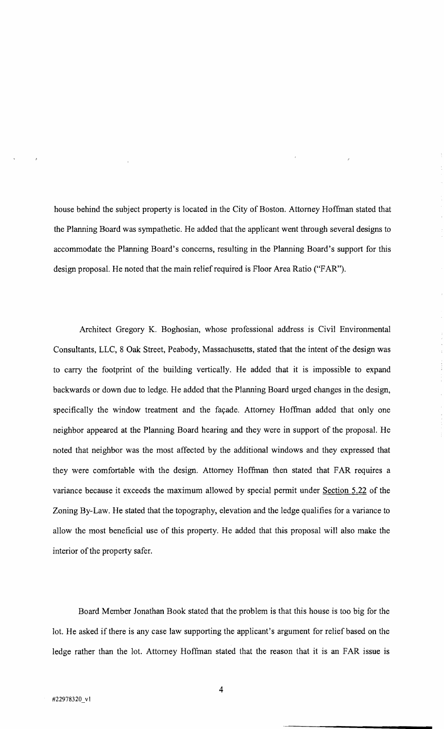house behind the subject property is located in the City of Boston. Attorney Hoffman stated that the Planning Board was sympathetic. He added that the applicant went through several designs to accommodate the Planning Board's concerns, resulting in the Planning Board's support for this design proposaL He noted that the main relief required is Floor Area Ratio ("FAR").

Architect Gregory K. Boghosian, whose professional address is Civil Environmental Consultants, LLC, 8 Oak Street, Peabody, Massachusetts, stated that the intent of the design was to carry the footprint of the building vertically. He added that it is impossible to expand backwards or down due to ledge. He added that the Planning Board urged changes in the design, specifically the window treatment and the façade. Attorney Hoffman added that only one neighbor appeared at the Planning Board hearing and they were in support of the proposal. He noted that neighbor was the most affected by the additional windows and they expressed that they were comfortable with the design. Attorney Hoffman then stated that FAR requires a variance because it exceeds the maximum allowed by special permit under Section 5.22 of the Zoning By-Law. He stated that the topography, elevation and the ledge qualifies for a variance to allow the most beneficial use of this property. He added that this proposal will also make the interior of the property safer.

Board Member Jonathan Book stated that the problem is that this house is too big for the lot. He asked if there is any case law supporting the applicant's argument for relief based on the ledge rather than the lot. Attorney Hoffman stated that the reason that it is an FAR issue is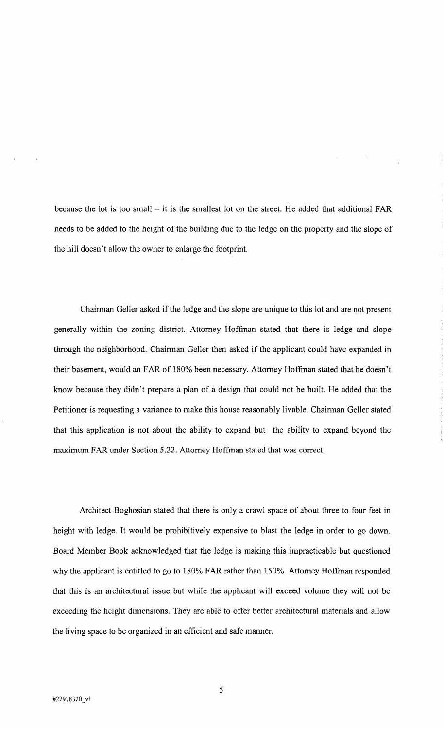because the lot is too small  $-$  it is the smallest lot on the street. He added that additional FAR needs to be added to the height of the building due to the ledge on the property and the slope of the hill doesn't allow the owner to enlarge the footprint.

Chairman Geller asked if the ledge and the slope are unique to this lot and are not present generally within the zoning district. Attorney Hoffman stated that there is ledge and slope through the neighborhood. Chairman Geller then asked if the applicant could have expanded in their basement, would an FAR of 180% been necessary. Attorney Hoffinan stated that he doesn't know because they didn't prepare a plan of a design that could not be built. He added that the Petitioner is requesting a variance to make this house reasonably livable. Chairman Geller stated that this application is not about the ability to expand but the ability to expand beyond the maximum FAR under Section 5.22. Attorney Hoffman stated that was correct.

Architect Boghosian stated that there is only a crawl space of about three to four feet in height with ledge. It would be prohibitively expensive to blast the ledge in order to go down. Board Member Book acknowledged that the ledge is making this impracticable but questioned why the applicant is entitled to go to 180% FAR rather than 150%. Attorney Hoffinan responded that this is an architectural issue but while the applicant will exceed volume they will not be exceeding the height dimensions. They are able to offer better architectural materials and allow the living space to be organized in an efficient and safe manner.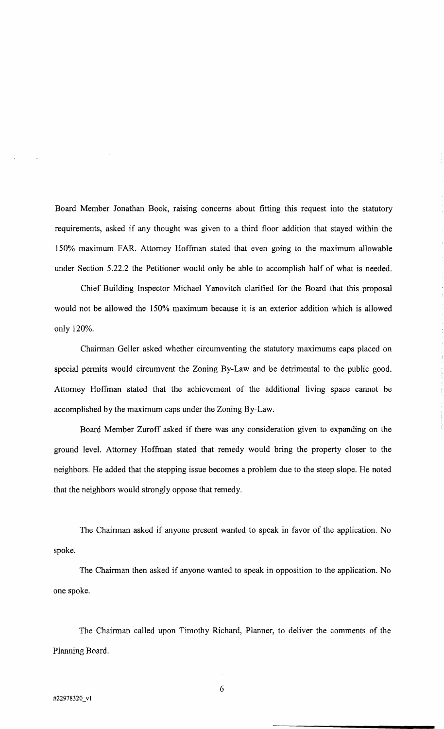Board Member Jonathan Book, raising concerns about fitting this request into the statutory requirements, asked if any thought was given to a third floor addition that stayed within the 150% maximum FAR Attorney Hoffman stated that even going to the maximum allowable under Section 5.22.2 the Petitioner would only be able to accomplish half of what is needed.

Chief Building Inspector Michael Yanovitch clarified for the Board that this proposal would not be allowed the 150% maximum because it is an exterior addition which is allowed only 120%.

Chairman Geller asked whether circumventing the statutory maximums caps placed on special permits would circumvent the Zoning By-Law and be detrimental to the public good. Attorney Hoffman stated that the achievement of the additional living space cannot be accomplished by the maximum caps under the Zoning By-Law.

Board Member Zuroff asked if there was any consideration given to expanding on the ground level. Attorney Hoffman stated that remedy would bring the property closer to the neighbors. He added that the stepping issue becomes a problem due to the steep slope. He noted that the neighbors would strongly oppose that remedy.

The Chairman asked if anyone present wanted to speak in favor of the application. No spoke.

The Chairman then asked if anyone wanted to speak in opposition to the application. No one spoke.

The Chairman called upon Timothy Richard, Planner, to deliver the comments of the Planning Board.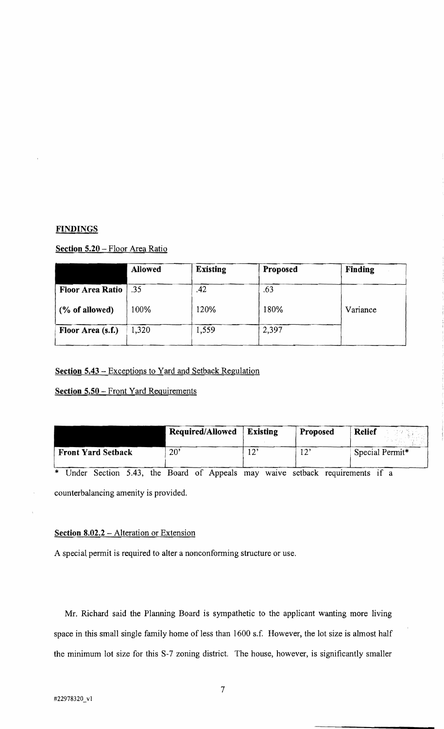### **FINDINGS**

## **Section 5.20** - Floor Area Ratio

|                         | <b>Allowed</b> | <b>Existing</b> | Proposed | <b>Finding</b> |
|-------------------------|----------------|-----------------|----------|----------------|
| <b>Floor Area Ratio</b> | .35            | .42             | .63      |                |
| $(\%$ of allowed)       | 100%           | 120%            | 180%     | Variance       |
| Floor Area (s.f.)       | 1,320          | 1,559           | 2,397    |                |

**Section 5.43** - Exceptions to Yard and Setback Regulation

**Section 5.50 - Front Yard Requirements** 

|                           | Required/Allowed | <b>Existing</b> | Proposed  | <b>Relief</b>   |
|---------------------------|------------------|-----------------|-----------|-----------------|
| <b>Front Yard Setback</b> | 20'              | י הו            | 12<br>⊥ ∠ | Special Permit* |

\* Under Section 5.43, the Board of Appeals may waive setback requirements if a

counterbalancing amenity is provided.

# **Section 8.02.2** - Alteration or Extension

A special permit is required to alter a nonconforming structure or use.

Mr. Richard said the Planning Board is sympathetic to the applicant wanting more living space in this small single family home of less than 1600 s.f. However, the lot size is almost half the minimum lot size for this S-7 zoning district. The house, however, is significantly smaller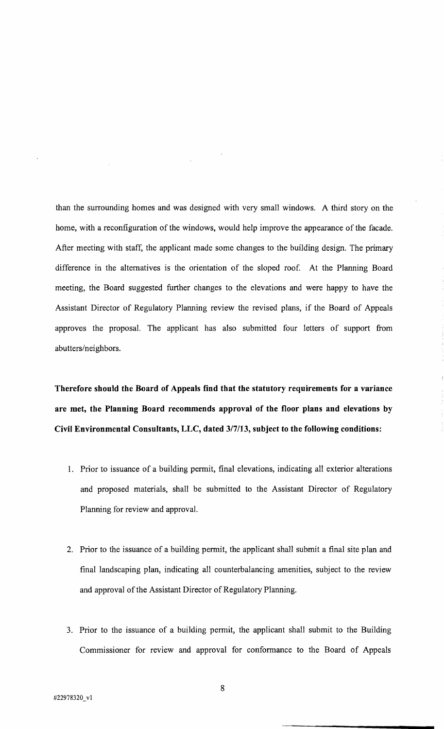than the surrounding homes and was designed with very small windows. A third story on the home, with a reconfiguration of the windows, would help improve the appearance of the facade. After meeting with staff, the applicant made some changes to the building design. The primary difference in the alternatives is the orientation of the sloped roof. At the Planning Board meeting, the Board suggested further changes to the elevations and were happy to have the Assistant Director of Regulatory Planning review the revised plans, if the Board of Appeals approves the proposal. The applicant has also submitted four letters of support from abutters/neighbors.

**Therefore should the Board of Appeals find that the statutory requirements for a variance are met, the Planning Board recommends approval of the floor plans and elevations by Civil Environmental Consultants, LLC, dated** 317/13, **subject to the following conditions:** 

- 1. Prior to issuance of a building permit, final elevations, indicating all exterior alterations and proposed materials, shall be submitted to the Assistant Director of Regulatory Planning for review and approvaL
- 2. Prior to the issuance of a building permit, the applicant shall submit a final site plan and final landscaping plan, indicating all counterbalancing amenities, subject to the review and approval of the Assistant Director of Regulatory Planning.
- 3. Prior to the issuance of a building permit, the applicant shall submit to the Building Commissioner for review and approval for conformance to the Board of Appeals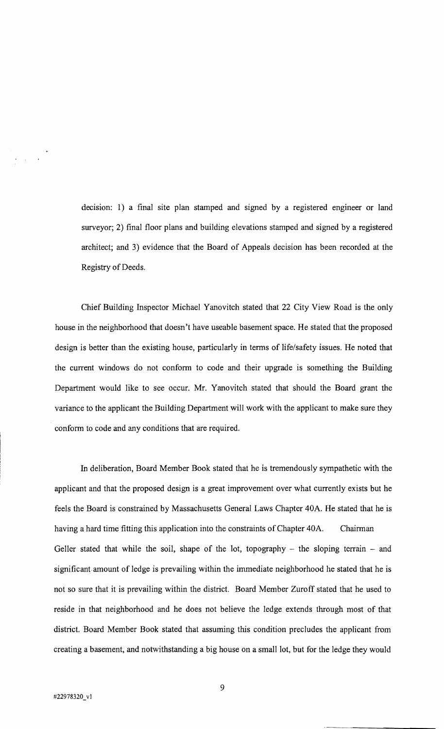decision: 1) a final site plan stamped and signed by a registered engineer or land surveyor; 2) final floor plans and building elevations stamped and signed by a registered architect; and 3) evidence that the Board of Appeals decision has been recorded at the Registry of Deeds.

Chief Building Inspector Michael Yanovitch stated that 22 City View Road is the only house in the neighborhood that doesn't have useable basement space. He stated that the proposed design is better than the existing house, particularly in terms of life/safety issues. He noted that the current windows do not conform to code and their upgrade is something the Building Department would like to see occur. Mr. Yanovitch stated that should the Board grant the variance to the applicant the Building Department will work with the applicant to make sure they conform to code and any conditions that are required.

In deliberation, Board Member Book stated that he is tremendously sympathetic with the applicant and that the proposed design is a great improvement over what currently exists but he feels the Board is constrained by Massachusetts General Laws Chapter 40A. He stated that he is having a hard time fitting this application into the constraints of Chapter 40A. Chairman Geller stated that while the soil, shape of the lot, topography  $-$  the sloping terrain  $-$  and significant amount of ledge is prevailing within the immediate neighborhood he stated that he is not so sure that it is prevailing within the district. Board Member Zuroff stated that he used to reside in that neighborhood and he does not believe the ledge extends through most of that district. Board Member Book stated that assuming this condition precludes the applicant from creating a basement, and notwithstanding a big house on a small lot, but for the ledge they would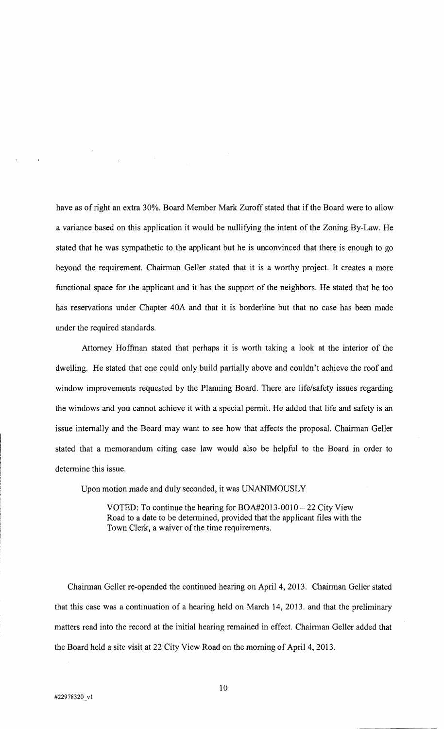have as of right an extra 30%. Board Member Mark Zuroff stated that if the Board were to allow a variance based on this application it would be nullifying the intent of the Zoning By-Law. He stated that he was sympathetic to the applicant but he is unconvinced that there is enough to go beyond the requirement. Chairman Geller stated that it is a worthy project. It creates a more functional space for the applicant and it has the support of the neighbors. He stated that he too has reservations under Chapter 40A and that it is borderline but that no case has been made under the required standards.

Attorney Hoffinan stated that perhaps it is worth taking a look at the interior of the dwelling. He stated that one could only build partially above and couldn't achieve the roof and window improvements requested by the Planning Board. There are life/safety issues regarding the windows and you cannot achieve it with a special permit. He added that life and safety is an issue internally and the Board may want to see how that affects the proposal. Chairman Geller stated that a memorandum citing case law would also be helpful to the Board in order to determine this issue.

Upon motion made and duly seconded, it was UNANIMOUSLY

VOTED: To continue the hearing for BOA#2013-0010 - 22 City View Road to a date to be determined, provided that the applicant files with the Town Clerk, a waiver of the time requirements.

Chairman Geller re-opended the continued hearing on April 4, 2013. Chairman Geller stated that this case was a continuation of a hearing held on March 14, 2013. and that the preliminary matters read into the record at the initial hearing remained in effect. Chairman Geller added that the Board held a site visit at 22 City View Road on the morning of April 4, 2013.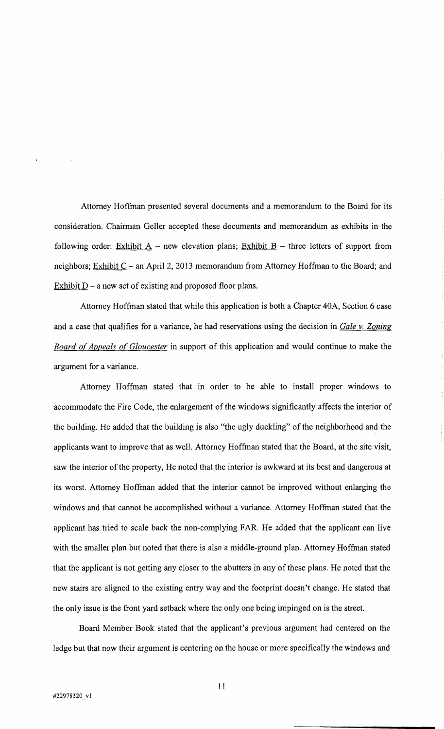Attorney Hoffman presented several documents and a memorandum to the Board for its consideration. Chairman Geller accepted these documents and memorandum as exhibits in the following order: Exhibit  $A$  – new elevation plans; Exhibit  $B$  – three letters of support from neighbors; Exhibit  $C$  - an April 2, 2013 memorandum from Attorney Hoffman to the Board; and Exhibit  $D - a$  new set of existing and proposed floor plans.

Attorney Hoffman stated that while this application is both a Chapter 40A, Section 6 case and a case that qualifies for a variance, he had reservations using the decision in *Gale v. Zoning*  **Board of Appeals of Gloucester** in support of this application and would continue to make the argument for a variance.

Attorney Hoffman stated that in order to be able to install proper windows to accommodate the Fire Code, the enlargement of the windows significantly affects the interior of the building. He added that the building is also "the ugly duckling" of the neighborhood and the applicants want to improve that as well. Attorney Hoffman stated that the Board, at the site visit, saw the interior of the property, He noted that the interior is awkward at its best and dangerous at its worst. Attorney Hoffman added that the interior cannot be improved without enlarging the windows and that cannot be accomplished without a variance. Attorney Hoffman stated that the applicant has tried to scale back the non-complying FAR. He added that the applicant can live with the smaller plan but noted that there is also a middle-ground plan. Attorney Hoffman stated that the applicant is not getting any closer to the abutters in any of these plans. He noted that the new stairs are aligned to the existing entry way and the footprint doesn't change. He stated that the only issue is the front yard setback where the only one being impinged on is the street.

Board Member Book stated that the applicant's previous argument had centered on the ledge but that now their argument is centering on the house or more specifically the windows and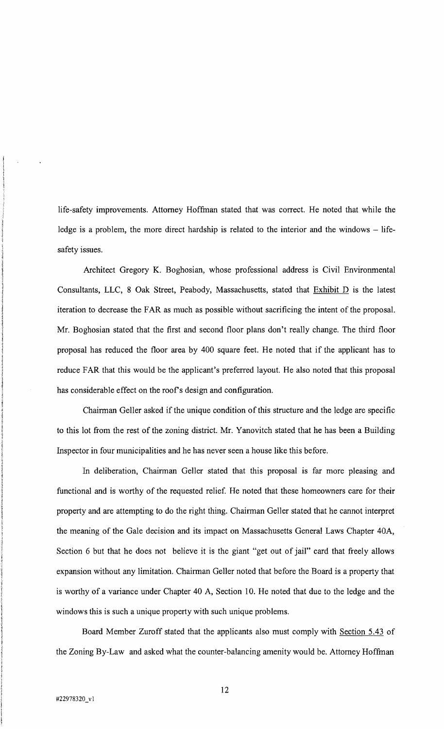life-safety improvements. Attorney Hoffman stated that was correct. He noted that while the ledge is a problem, the more direct hardship is related to the interior and the windows - lifesafety issues.

Architect Gregory K. Boghosian, whose professional address is Civil Environmental Consultants, LLC, 8 Oak: Street, Peabody, Massachusetts, stated that Exhibit D is the latest iteration to decrease the FAR as much as possible without sacrificing the intent of the proposal. Mr. Boghosian stated that the first and second floor plans don't really change. The third floor proposal has reduced the floor area by 400 square feet. He noted that if the applicant has to reduce FAR that this would be the applicant's preferred layout. He also noted that this proposal has considerable effect on the roof's design and configuration.

Chairman Geller asked if the unique condition of this structure and the ledge are specific to this lot from the rest of the zoning district. Mr. Yanovitch stated that he has been a Building Inspector in four municipalities and he has never seen a house like this before.

In deliberation, Chairman Geller stated that this proposal is far more pleasing and functional and is worthy of the requested relief. He noted that these homeowners care for their property and are attempting to do the right thing. Chairman Geller stated that he cannot interpret the meaning of the Gale decision and its impact on Massachusetts General Laws Chapter 40A, Section 6 but that he does not believe it is the giant "get out of jail" card that freely allows expansion without any limitation. Chairman Geller noted that before the Board is a property that is worthy of a variance under Chapter 40 A, Section 10. He noted that due to the ledge and the windows this is such a unique property with such unique problems.

Board Member Zuroff stated that the applicants also must comply with Section 5.43 of the Zoning By-Law and asked what the counter-balancing amenity would be. Attorney Hoffman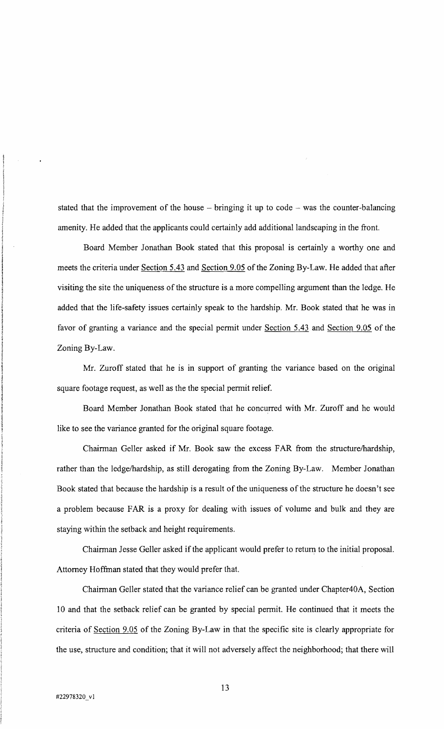stated that the improvement of the house  $-$  bringing it up to code  $-$  was the counter-balancing amenity. He added that the applicants could certainly add additional landscaping in the front.

Board Member Jonathan Book stated that this proposal is certainly a worthy one and meets the criteria under Section 5.43 and Section 9.05 of the Zoning By-Law. He added that after visiting the site the uniqueness of the structure is a more compelling argument than the ledge. He added that the life-safety issues certainly speak to the hardship. Mr. Book stated that he was in favor of granting a variance and the special permit under Section 5.43 and Section 9.05 of the Zoning By-Law.

Mr. Zuroff stated that he is in support of granting the variance based on the original square footage request, as well as the the special permit relief.

Board Member Jonathan Book stated that he concurred with Mr. Zuroff and he would like to see the variance granted for the original square footage.

Chairman Geller asked if Mr. Book saw the excess FAR from the structure/hardship, rather than the ledge/hardship, as still derogating from the Zoning By-Law. Member Jonathan Book stated that because the hardship is a result of the uniqueness of the structure he doesn't see a problem because FARis a proxy for dealing with issues of volume and bulk and they are staying within the setback and height requirements.

Chairman Jesse Geller asked if the applicant would prefer to return to the initial proposal. Attorney Hoffman stated that they would prefer that

Chairman Geller stated that the variance relief can be granted under Chapter40A, Section 10 and that the setback relief can be granted by special permit. He continued that it meets the criteria of Section 9.05 of the Zoning By-Law in that the specific site is clearly appropriate for the use, structure and condition; that it will not adversely affect the neighborhood; that there will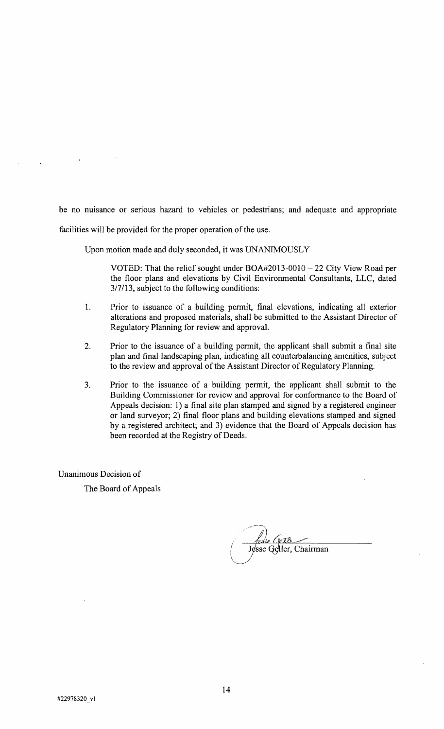be no nuisance or serious hazard to vehicles or pedestrians; and adequate and appropriate facilities will be provided for the proper operation of the use.

Upon motion made and duly seconded, it was UNANIMOUSLY

VOTED: That the relief sought under  $BOA#2013-0010-22$  City View Road per the floor plans and elevations by Civil Environmental Consultants, LLC, dated *3/7/13,* subject to the following conditions:

- 1. Prior to issuance of a building permit, final elevations, indicating all exterior alterations and proposed materials, shall be submitted to the Assistant Director of Regulatory Planning for review and approval.
- 2. Prior to the issuance of a building permit, the applicant shall submit a final site plan and final landscaping plan, indicating all counterbalancing amenities, subject to the review and approval of the Assistant Director of Regulatory Planning.
- 3. Prior to the issuance of a building permit, the applicant shall submit to the Building Commissioner for review and approval for conformance to the Board of Appeals decision: 1) a final site plan stamped and signed by a registered engineer or land surveyor; 2) final floor plans and building elevations stamped and signed by a registered architect; and 3) evidence that the Board of Appeals decision has been recorded at the Registry of Deeds.

Unanimous Decision of

The Board of Appeals

وللكائما  $\left($ Jesse Geller, Chairman